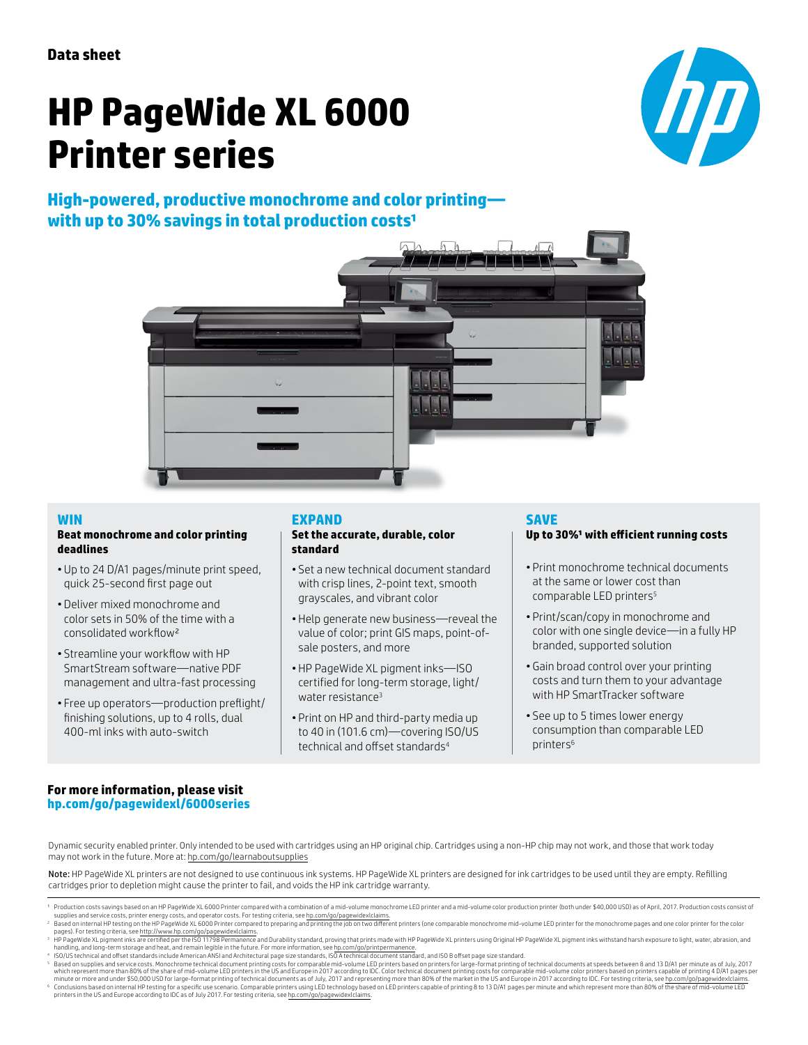# **HP PageWide XL 6000 Printer series**

# **High-powered, productive monochrome and color printing** with up to 30% savings in total production costs<sup>1</sup>





## **WIN**

### **Beat monochrome and color printing deadlines**

- Up to 24 D/A1 pages/minute print speed, quick 25-second first page out
- Deliver mixed monochrome and color sets in 50% of the time with a consolidated workflow²
- Streamline your workflow with HP SmartStream software—native PDF management and ultra-fast processing
- Free up operators—production preflight/ finishing solutions, up to 4 rolls, dual 400-ml inks with auto-switch

## **EXPAND**

#### **Set the accurate, durable, color standard**

- Set a new technical document standard with crisp lines, 2-point text, smooth grayscales, and vibrant color
- Help generate new business—reveal the value of color; print GIS maps, point-ofsale posters, and more
- HP PageWide XL pigment inks—ISO certified for long-term storage, light/ water resistance<sup>3</sup>
- Print on HP and third-party media up to 40 in (101.6 cm)—covering ISO/US technical and offset standards<sup>4</sup>

## **SAVE**

## Up to 30%<sup>1</sup> with efficient running costs

- Print monochrome technical documents at the same or lower cost than comparable LED printers<sup>5</sup>
- Print/scan/copy in monochrome and color with one single device—in a fully HP branded, supported solution
- Gain broad control over your printing costs and turn them to your advantage with HP SmartTracker software
- See up to 5 times lower energy consumption than comparable LED printers<sup>6</sup>

## **For more information, please visit [hp.com/go/pagewidexl/](http://hp.com/go/pagewidexl/6000series)6000series**

Dynamic security enabled printer. Only intended to be used with cartridges using an HP original chip. Cartridges using a non-HP chip may not work, and those that work today may not work in the future. More at: [hp.com/go/learnaboutsupplies](http://hp.com/go/learnaboutsupplies)

Note: HP PageWide XL printers are not designed to use continuous ink systems. HP PageWide XL printers are designed for ink cartridges to be used until they are empty. Refilling cartridges prior to depletion might cause the printer to fail, and voids the HP ink cartridge warranty.

- supplies and service costs, printer energy costs, and operator costs. For testing criteria, see h<u>p.com/go/pagewidexlclaims</u>.<br><sup>2</sup>Based on internal HP testing on the HP PageWide XL 6000 Printer compared to preparing and pri
- 
- 

Production costs savings based on an HP PageWide XL 6000 Printer compared with a combination of a mid-volume monochrome LED printer and a mid-volume color production printer (both under \$40,000 USD) as of April, 2017. Prod

pages). For testing criteria, see th<u>tt:</u>//www.bp.com/go/pagnetide/actions.<br><sup>3</sup> HP PageWide XL pigment inks are certified per the ISO 11798 Permanence and Durability standard, proving that prints made with HP PageWide XL p Conclusions based on internal HP testing for a specific use scenario. Comparable printers using LED technology based on LED printers capable of printing 8 to 13 D/A1 pages per minute and which represent more than 80% of th printers in the US and Europe according to IDC as of July 2017. For testing criteria, see [hp.com/go/pagewidexlclaims](http://hp.com/go/pagewidexlclaims).